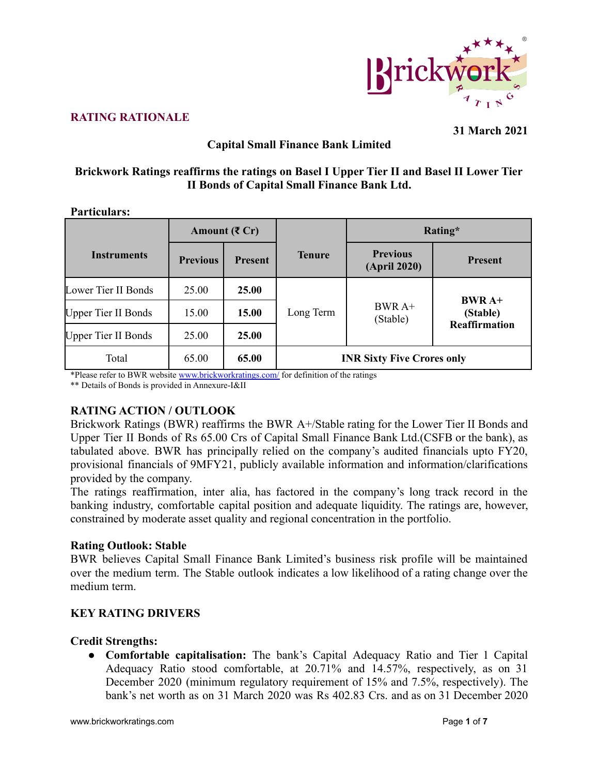

# **RATING RATIONALE**

**31 March 2021**

# **Capital Small Finance Bank Limited**

#### **Brickwork Ratings reaffirms the ratings on Basel I Upper Tier II and Basel II Lower Tier II Bonds of Capital Small Finance Bank Ltd.**

#### **Particulars:**

|                            | Amount $(\mathbf{\bar{z}})$ Cr |                |                                   | Rating*                         |                      |  |
|----------------------------|--------------------------------|----------------|-----------------------------------|---------------------------------|----------------------|--|
| <b>Instruments</b>         | <b>Previous</b>                | <b>Present</b> | <b>Tenure</b>                     | <b>Previous</b><br>(April 2020) | <b>Present</b>       |  |
| Lower Tier II Bonds        | 25.00                          | 25.00          |                                   |                                 | $BWRA+$<br>(Stable)  |  |
| <b>Upper Tier II Bonds</b> | 15.00                          | <b>15.00</b>   | Long Term                         | $BWRA+$<br>(Stable)             |                      |  |
| <b>Upper Tier II Bonds</b> | 25.00                          | 25.00          |                                   |                                 | <b>Reaffirmation</b> |  |
| Total                      | 65.00                          | 65.00          | <b>INR Sixty Five Crores only</b> |                                 |                      |  |

\*Please refer to BWR website [www.brickworkratings.com/](http://www.brickworkratings.com/) for definition of the ratings

\*\* Details of Bonds is provided in Annexure-I&II

#### **RATING ACTION / OUTLOOK**

Brickwork Ratings (BWR) reaffirms the BWR A+/Stable rating for the Lower Tier II Bonds and Upper Tier II Bonds of Rs 65.00 Crs of Capital Small Finance Bank Ltd.(CSFB or the bank), as tabulated above. BWR has principally relied on the company's audited financials upto FY20, provisional financials of 9MFY21, publicly available information and information/clarifications provided by the company.

The ratings reaffirmation, inter alia, has factored in the company's long track record in the banking industry, comfortable capital position and adequate liquidity. The ratings are, however, constrained by moderate asset quality and regional concentration in the portfolio.

#### **Rating Outlook: Stable**

BWR believes Capital Small Finance Bank Limited's business risk profile will be maintained over the medium term. The Stable outlook indicates a low likelihood of a rating change over the medium term.

#### **KEY RATING DRIVERS**

#### **Credit Strengths:**

**● Comfortable capitalisation:** The bank's Capital Adequacy Ratio and Tier 1 Capital Adequacy Ratio stood comfortable, at 20.71% and 14.57%, respectively, as on 31 December 2020 (minimum regulatory requirement of 15% and 7.5%, respectively). The bank's net worth as on 31 March 2020 was Rs 402.83 Crs. and as on 31 December 2020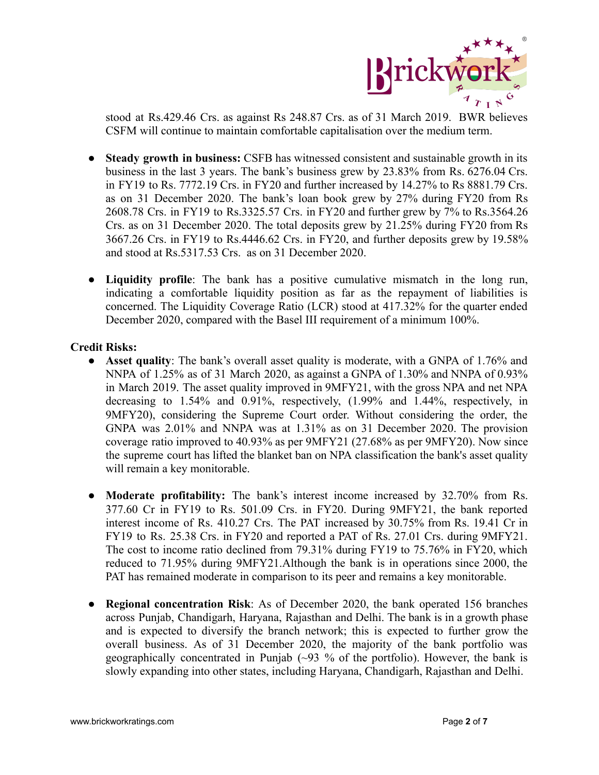

stood at Rs.429.46 Crs. as against Rs 248.87 Crs. as of 31 March 2019. BWR believes CSFM will continue to maintain comfortable capitalisation over the medium term.

- **● Steady growth in business:** CSFB has witnessed consistent and sustainable growth in its business in the last 3 years. The bank's business grew by 23.83% from Rs. 6276.04 Crs. in FY19 to Rs. 7772.19 Crs. in FY20 and further increased by 14.27% to Rs 8881.79 Crs. as on 31 December 2020. The bank's loan book grew by 27% during FY20 from Rs 2608.78 Crs. in FY19 to Rs.3325.57 Crs. in FY20 and further grew by 7% to Rs.3564.26 Crs. as on 31 December 2020. The total deposits grew by 21.25% during FY20 from Rs 3667.26 Crs. in FY19 to Rs.4446.62 Crs. in FY20, and further deposits grew by 19.58% and stood at Rs.5317.53 Crs. as on 31 December 2020.
- **Liquidity profile**: The bank has a positive cumulative mismatch in the long run, indicating a comfortable liquidity position as far as the repayment of liabilities is concerned. The Liquidity Coverage Ratio (LCR) stood at 417.32% for the quarter ended December 2020, compared with the Basel III requirement of a minimum 100%.

#### **Credit Risks:**

- **Asset quality**: The bank's overall asset quality is moderate, with a GNPA of 1.76% and NNPA of 1.25% as of 31 March 2020, as against a GNPA of 1.30% and NNPA of 0.93% in March 2019. The asset quality improved in 9MFY21, with the gross NPA and net NPA decreasing to 1.54% and 0.91%, respectively, (1.99% and 1.44%, respectively, in 9MFY20), considering the Supreme Court order. Without considering the order, the GNPA was 2.01% and NNPA was at 1.31% as on 31 December 2020. The provision coverage ratio improved to 40.93% as per 9MFY21 (27.68% as per 9MFY20). Now since the supreme court has lifted the blanket ban on NPA classification the bank's asset quality will remain a key monitorable.
- **Moderate profitability:** The bank's interest income increased by 32.70% from Rs. 377.60 Cr in FY19 to Rs. 501.09 Crs. in FY20. During 9MFY21, the bank reported interest income of Rs. 410.27 Crs. The PAT increased by 30.75% from Rs. 19.41 Cr in FY19 to Rs. 25.38 Crs. in FY20 and reported a PAT of Rs. 27.01 Crs. during 9MFY21. The cost to income ratio declined from 79.31% during FY19 to 75.76% in FY20, which reduced to 71.95% during 9MFY21.Although the bank is in operations since 2000, the PAT has remained moderate in comparison to its peer and remains a key monitorable.
- **Regional concentration Risk**: As of December 2020, the bank operated 156 branches across Punjab, Chandigarh, Haryana, Rajasthan and Delhi. The bank is in a growth phase and is expected to diversify the branch network; this is expected to further grow the overall business. As of 31 December 2020, the majority of the bank portfolio was geographically concentrated in Punjab  $(\sim 93\%$  of the portfolio). However, the bank is slowly expanding into other states, including Haryana, Chandigarh, Rajasthan and Delhi.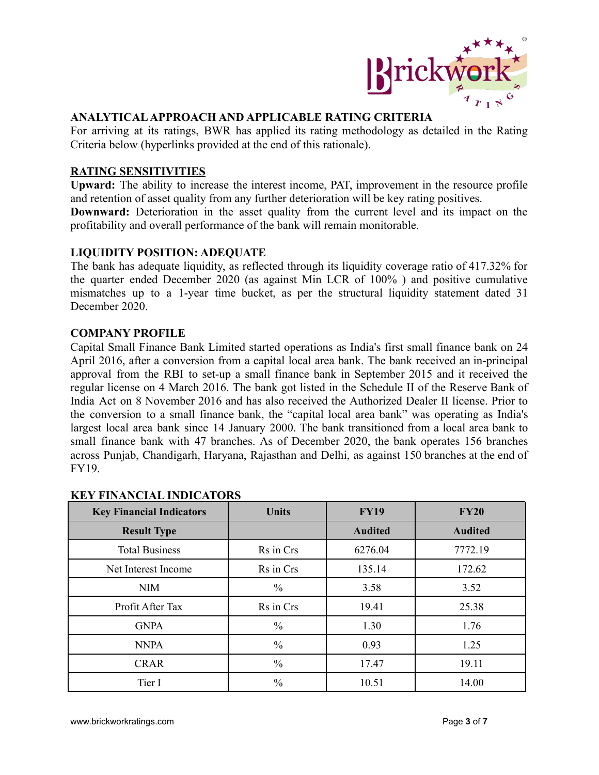

#### **ANALYTICALAPPROACH AND APPLICABLE RATING CRITERIA**

For arriving at its ratings, BWR has applied its rating methodology as detailed in the Rating Criteria below (hyperlinks provided at the end of this rationale).

#### **RATING SENSITIVITIES**

**Upward:** The ability to increase the interest income, PAT, improvement in the resource profile and retention of asset quality from any further deterioration will be key rating positives. **Downward:** Deterioration in the asset quality from the current level and its impact on the profitability and overall performance of the bank will remain monitorable.

**LIQUIDITY POSITION: ADEQUATE**

The bank has adequate liquidity, as reflected through its liquidity coverage ratio of 417.32% for the quarter ended December 2020 (as against Min LCR of 100% ) and positive cumulative mismatches up to a 1-year time bucket, as per the structural liquidity statement dated 31 December 2020.

#### **COMPANY PROFILE**

Capital Small Finance Bank Limited started operations as India's first small finance bank on 24 April 2016, after a conversion from a capital local area bank. The bank received an in-principal approval from the RBI to set-up a small finance bank in September 2015 and it received the regular license on 4 March 2016. The bank got listed in the Schedule II of the Reserve Bank of India Act on 8 November 2016 and has also received the Authorized Dealer II license. Prior to the conversion to a small finance bank, the "capital local area bank" was operating as India's largest local area bank since 14 January 2000. The bank transitioned from a local area bank to small finance bank with 47 branches. As of December 2020, the bank operates 156 branches across Punjab, Chandigarh, Haryana, Rajasthan and Delhi, as against 150 branches at the end of FY19.

| <b>Key Financial Indicators</b> | <b>Units</b>  | <b>FY19</b>    | <b>FY20</b>    |  |
|---------------------------------|---------------|----------------|----------------|--|
| <b>Result Type</b>              |               | <b>Audited</b> | <b>Audited</b> |  |
| <b>Total Business</b>           | Rs in Crs     | 6276.04        | 7772.19        |  |
| Net Interest Income             | Rs in Crs     | 135.14         | 172.62         |  |
| <b>NIM</b>                      | $\frac{0}{0}$ | 3.58           | 3.52           |  |
| Profit After Tax                | Rs in Crs     | 19.41          | 25.38          |  |
| <b>GNPA</b>                     | $\frac{0}{0}$ | 1.30           | 1.76           |  |
| <b>NNPA</b>                     | $\frac{0}{0}$ | 0.93           | 1.25           |  |
| <b>CRAR</b>                     | $\frac{0}{0}$ | 17.47          | 19.11          |  |
| Tier I                          | $\frac{0}{0}$ | 10.51          | 14.00          |  |

#### **KEY FINANCIAL INDICATORS**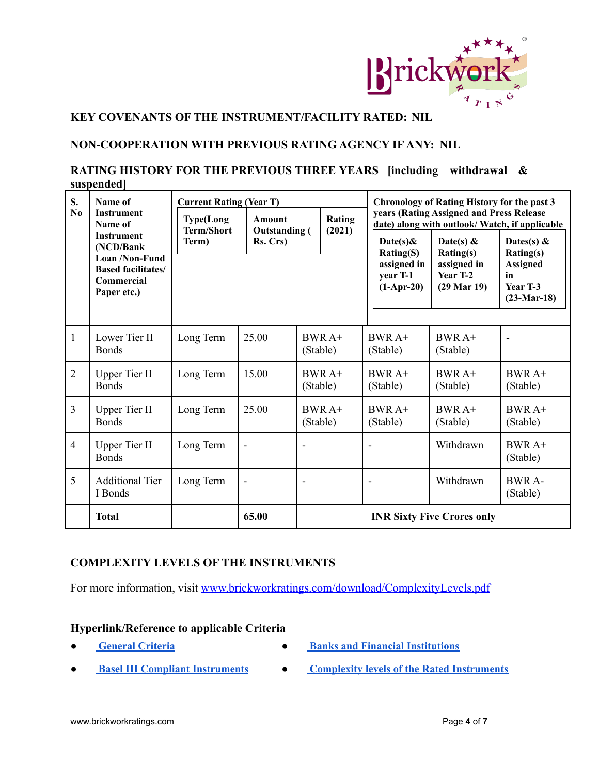

# **KEY COVENANTS OF THE INSTRUMENT/FACILITY RATED: NIL**

#### **NON-COOPERATION WITH PREVIOUS RATING AGENCY IF ANY: NIL**

# **RATING HISTORY FOR THE PREVIOUS THREE YEARS [including withdrawal & suspended]**

| S.<br>N <sub>0</sub> | Name of<br><b>Instrument</b><br>Name of<br><b>Instrument</b><br>(NCD/Bank<br>Loan /Non-Fund<br><b>Based facilitates/</b><br>Commercial<br>Paper etc.) | <b>Current Rating (Year T)</b><br><b>Type(Long</b><br><b>Term/Short</b><br>Term) | <b>Amount</b><br><b>Outstanding</b> (<br>Rs. Crs) |                                   | Rating<br>(2021) |  | Date(s) $\&$<br>Rating(S)<br>assigned in<br>year T-1<br>$(1-Apr-20)$ | Chronology of Rating History for the past 3<br>years (Rating Assigned and Press Release<br>date) along with outlook/ Watch, if applicable<br>Date(s) $\&$<br>Rating(s)<br>assigned in<br>Year T-2<br>$(29 \text{ Mar } 19)$ | Dates(s) $\&$<br>Rating(s)<br><b>Assigned</b><br>in<br>Year T-3<br>$(23-Mar-18)$ |
|----------------------|-------------------------------------------------------------------------------------------------------------------------------------------------------|----------------------------------------------------------------------------------|---------------------------------------------------|-----------------------------------|------------------|--|----------------------------------------------------------------------|-----------------------------------------------------------------------------------------------------------------------------------------------------------------------------------------------------------------------------|----------------------------------------------------------------------------------|
| $\mathbf{1}$         | Lower Tier II<br><b>Bonds</b>                                                                                                                         | Long Term                                                                        | 25.00                                             | BWR A+<br>(Stable)                |                  |  | $BWRA+$<br>(Stable)                                                  | $BWRA+$<br>(Stable)                                                                                                                                                                                                         |                                                                                  |
| $\overline{2}$       | <b>Upper Tier II</b><br><b>Bonds</b>                                                                                                                  | Long Term                                                                        | 15.00                                             | $BWRA+$<br>(Stable)               |                  |  | $BWRA+$<br>(Stable)                                                  | $BWRA+$<br>(Stable)                                                                                                                                                                                                         | $BWRA+$<br>(Stable)                                                              |
| $\overline{3}$       | <b>Upper Tier II</b><br><b>Bonds</b>                                                                                                                  | Long Term                                                                        | 25.00                                             | $BWRA+$<br>(Stable)               |                  |  | $BWRA+$<br>(Stable)                                                  | $BWRA+$<br>(Stable)                                                                                                                                                                                                         | $BWRA+$<br>(Stable)                                                              |
| $\overline{4}$       | <b>Upper Tier II</b><br><b>Bonds</b>                                                                                                                  | Long Term                                                                        |                                                   |                                   |                  |  |                                                                      | Withdrawn                                                                                                                                                                                                                   | $BWRA+$<br>(Stable)                                                              |
| 5                    | <b>Additional Tier</b><br>I Bonds                                                                                                                     | Long Term                                                                        |                                                   |                                   |                  |  |                                                                      | Withdrawn                                                                                                                                                                                                                   | <b>BWR A-</b><br>(Stable)                                                        |
|                      | <b>Total</b>                                                                                                                                          |                                                                                  | 65.00                                             | <b>INR Sixty Five Crores only</b> |                  |  |                                                                      |                                                                                                                                                                                                                             |                                                                                  |

#### **COMPLEXITY LEVELS OF THE INSTRUMENTS**

For more information, visit [www.brickworkratings.com/download/ComplexityLevels.pdf](http://www.brickworkratings.com/download/ComplexityLevels.pdf)

#### **Hyperlink/Reference to applicable Criteria**

- 
- **● [General](http://www.brickworkratings.com/download/Criteria-GeneralCriteria.pdf) Criteria ● Banks and Financial [Institutions](http://www.brickworkratings.com/download/Criteria-BanksFinancialInstitutions.pdf)**
- 
- **● Basel III Compliant [Instruments](http://www.brickworkratings.com/download/Criteria-Basel3CompliantInstruments.pdf) ● Complexity levels of the Rated [Instruments](http://www.brickworkratings.com/download/ComplexityLevels.pdf)**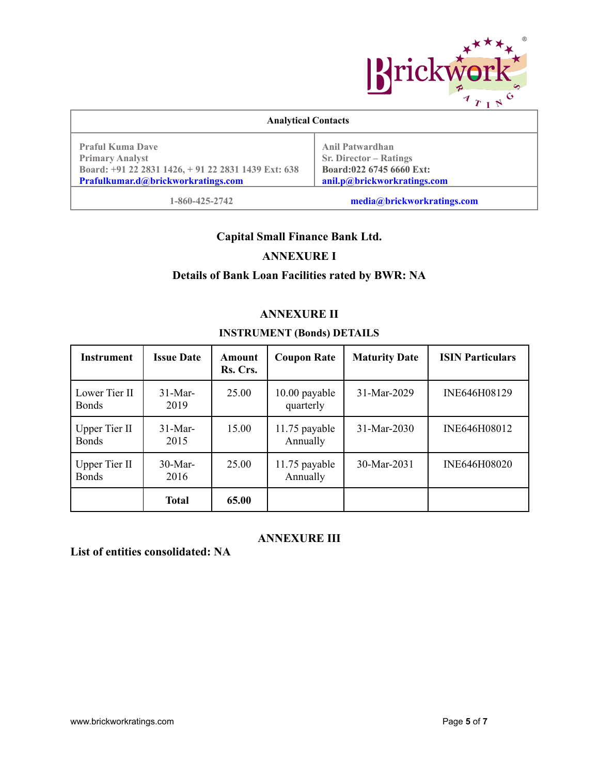

| <b>Analytical Contacts</b>                                                                                                                    |                                                                                                                    |  |  |  |  |
|-----------------------------------------------------------------------------------------------------------------------------------------------|--------------------------------------------------------------------------------------------------------------------|--|--|--|--|
| <b>Praful Kuma Dave</b><br><b>Primary Analyst</b><br>Board: +91 22 2831 1426, +91 22 2831 1439 Ext: 638<br>Prafulkumar.d@brickworkratings.com | <b>Anil Patwardhan</b><br><b>Sr. Director – Ratings</b><br>Board:022 6745 6660 Ext:<br>anil.p@brickworkratings.com |  |  |  |  |
| 1-860-425-2742                                                                                                                                | media@brickworkratings.com                                                                                         |  |  |  |  |

# **Capital Small Finance Bank Ltd.**

# **ANNEXURE I**

# **Details of Bank Loan Facilities rated by BWR: NA**

# **ANNEXURE II**

#### **INSTRUMENT (Bonds) DETAILS**

| <b>Instrument</b>                    | <b>Issue Date</b>  | Amount<br>Rs. Crs. | <b>Coupon Rate</b>         | <b>Maturity Date</b> | <b>ISIN Particulars</b> |
|--------------------------------------|--------------------|--------------------|----------------------------|----------------------|-------------------------|
| Lower Tier II<br><b>Bonds</b>        | $31$ -Mar-<br>2019 | 25.00              | 10.00 payable<br>quarterly | 31-Mar-2029          | INE646H08129            |
| <b>Upper Tier II</b><br><b>Bonds</b> | $31-Mar-$<br>2015  | 15.00              | 11.75 payable<br>Annually  | 31-Mar-2030          | INE646H08012            |
| <b>Upper Tier II</b><br><b>Bonds</b> | $30-Mar-$<br>2016  | 25.00              | 11.75 payable<br>Annually  | 30-Mar-2031          | INE646H08020            |
|                                      | <b>Total</b>       | 65.00              |                            |                      |                         |

#### **ANNEXURE III**

**List of entities consolidated: NA**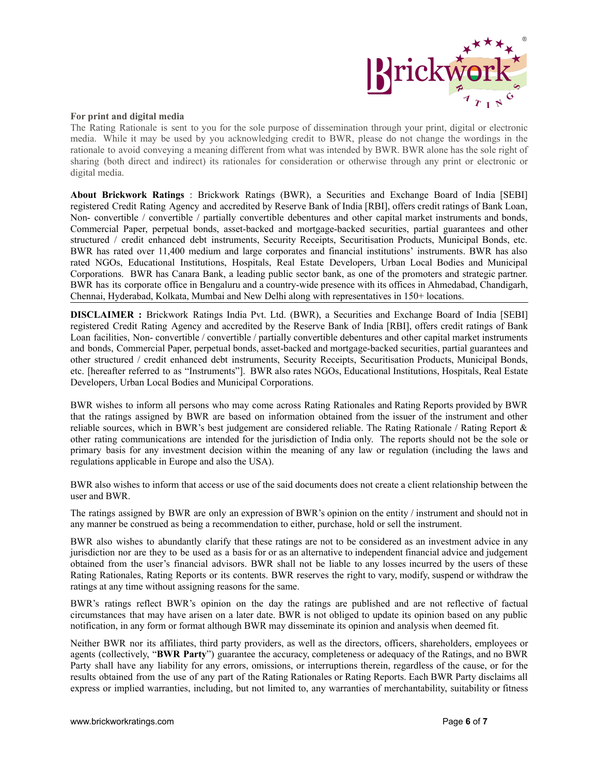

#### **For print and digital media**

The Rating Rationale is sent to you for the sole purpose of dissemination through your print, digital or electronic media. While it may be used by you acknowledging credit to BWR, please do not change the wordings in the rationale to avoid conveying a meaning different from what was intended by BWR. BWR alone has the sole right of sharing (both direct and indirect) its rationales for consideration or otherwise through any print or electronic or digital media.

**About Brickwork Ratings** : Brickwork Ratings (BWR), a Securities and Exchange Board of India [SEBI] registered Credit Rating Agency and accredited by Reserve Bank of India [RBI], offers credit ratings of Bank Loan, Non- convertible / convertible / partially convertible debentures and other capital market instruments and bonds, Commercial Paper, perpetual bonds, asset-backed and mortgage-backed securities, partial guarantees and other structured / credit enhanced debt instruments, Security Receipts, Securitisation Products, Municipal Bonds, etc. BWR has rated over 11,400 medium and large corporates and financial institutions' instruments. BWR has also rated NGOs, Educational Institutions, Hospitals, Real Estate Developers, Urban Local Bodies and Municipal Corporations. BWR has Canara Bank, a leading public sector bank, as one of the promoters and strategic partner. BWR has its corporate office in Bengaluru and a country-wide presence with its offices in Ahmedabad, Chandigarh, Chennai, Hyderabad, Kolkata, Mumbai and New Delhi along with representatives in 150+ locations.

**DISCLAIMER :** Brickwork Ratings India Pvt. Ltd. (BWR), a Securities and Exchange Board of India [SEBI] registered Credit Rating Agency and accredited by the Reserve Bank of India [RBI], offers credit ratings of Bank Loan facilities, Non- convertible / convertible / partially convertible debentures and other capital market instruments and bonds, Commercial Paper, perpetual bonds, asset-backed and mortgage-backed securities, partial guarantees and other structured / credit enhanced debt instruments, Security Receipts, Securitisation Products, Municipal Bonds, etc. [hereafter referred to as "Instruments"]. BWR also rates NGOs, Educational Institutions, Hospitals, Real Estate Developers, Urban Local Bodies and Municipal Corporations.

BWR wishes to inform all persons who may come across Rating Rationales and Rating Reports provided by BWR that the ratings assigned by BWR are based on information obtained from the issuer of the instrument and other reliable sources, which in BWR's best judgement are considered reliable. The Rating Rationale / Rating Report & other rating communications are intended for the jurisdiction of India only. The reports should not be the sole or primary basis for any investment decision within the meaning of any law or regulation (including the laws and regulations applicable in Europe and also the USA).

BWR also wishes to inform that access or use of the said documents does not create a client relationship between the user and BWR.

The ratings assigned by BWR are only an expression of BWR's opinion on the entity / instrument and should not in any manner be construed as being a recommendation to either, purchase, hold or sell the instrument.

BWR also wishes to abundantly clarify that these ratings are not to be considered as an investment advice in any jurisdiction nor are they to be used as a basis for or as an alternative to independent financial advice and judgement obtained from the user's financial advisors. BWR shall not be liable to any losses incurred by the users of these Rating Rationales, Rating Reports or its contents. BWR reserves the right to vary, modify, suspend or withdraw the ratings at any time without assigning reasons for the same.

BWR's ratings reflect BWR's opinion on the day the ratings are published and are not reflective of factual circumstances that may have arisen on a later date. BWR is not obliged to update its opinion based on any public notification, in any form or format although BWR may disseminate its opinion and analysis when deemed fit.

Neither BWR nor its affiliates, third party providers, as well as the directors, officers, shareholders, employees or agents (collectively, "**BWR Party**") guarantee the accuracy, completeness or adequacy of the Ratings, and no BWR Party shall have any liability for any errors, omissions, or interruptions therein, regardless of the cause, or for the results obtained from the use of any part of the Rating Rationales or Rating Reports. Each BWR Party disclaims all express or implied warranties, including, but not limited to, any warranties of merchantability, suitability or fitness